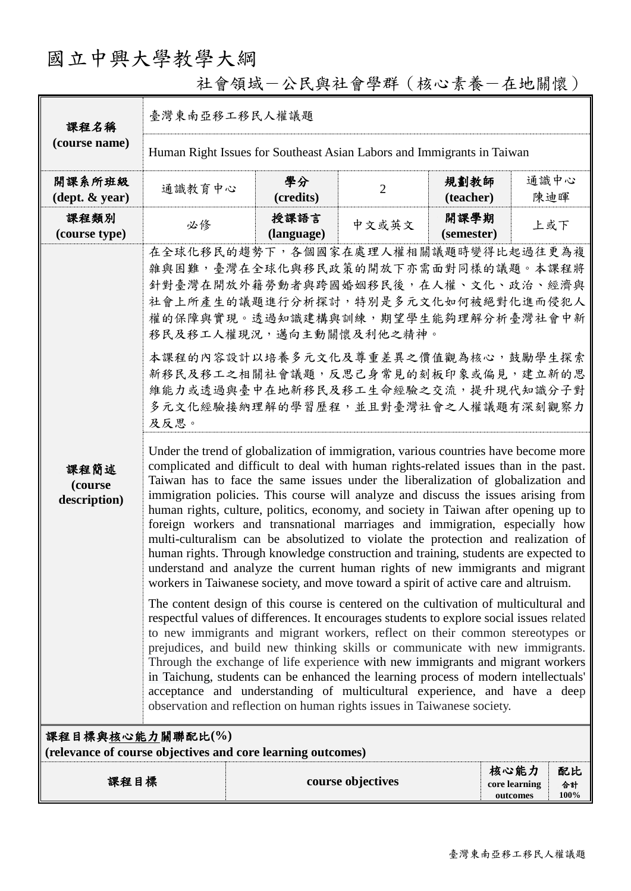# 國立中興大學教學大綱

| 課程名稱                                       | 臺灣東南亞移工移民人權議題                                                                                                                                                                                                                                                                                                                                                                                                                                                                                                                                                                                                                                                                                                                                                                                                                                                                                                                                                                                                                                                                                                                                                                                                                                                                                                                                                                                                                                                                                                                                                                                                                                                                                                                                                                                                                                                                                                                                                      |                    |                   |                    |                                                          |  |
|--------------------------------------------|--------------------------------------------------------------------------------------------------------------------------------------------------------------------------------------------------------------------------------------------------------------------------------------------------------------------------------------------------------------------------------------------------------------------------------------------------------------------------------------------------------------------------------------------------------------------------------------------------------------------------------------------------------------------------------------------------------------------------------------------------------------------------------------------------------------------------------------------------------------------------------------------------------------------------------------------------------------------------------------------------------------------------------------------------------------------------------------------------------------------------------------------------------------------------------------------------------------------------------------------------------------------------------------------------------------------------------------------------------------------------------------------------------------------------------------------------------------------------------------------------------------------------------------------------------------------------------------------------------------------------------------------------------------------------------------------------------------------------------------------------------------------------------------------------------------------------------------------------------------------------------------------------------------------------------------------------------------------|--------------------|-------------------|--------------------|----------------------------------------------------------|--|
| (course name)                              | Human Right Issues for Southeast Asian Labors and Immigrants in Taiwan                                                                                                                                                                                                                                                                                                                                                                                                                                                                                                                                                                                                                                                                                                                                                                                                                                                                                                                                                                                                                                                                                                                                                                                                                                                                                                                                                                                                                                                                                                                                                                                                                                                                                                                                                                                                                                                                                             |                    |                   |                    |                                                          |  |
| 開課系所班級<br>$(\text{dept.} \& \text{ year})$ | 通識教育中心                                                                                                                                                                                                                                                                                                                                                                                                                                                                                                                                                                                                                                                                                                                                                                                                                                                                                                                                                                                                                                                                                                                                                                                                                                                                                                                                                                                                                                                                                                                                                                                                                                                                                                                                                                                                                                                                                                                                                             | 學分<br>(credits)    | $\overline{2}$    | 規劃教師<br>(teacher)  | 通識中心<br>陳迪暉                                              |  |
| 課程類別<br>(course type)                      | 必修                                                                                                                                                                                                                                                                                                                                                                                                                                                                                                                                                                                                                                                                                                                                                                                                                                                                                                                                                                                                                                                                                                                                                                                                                                                                                                                                                                                                                                                                                                                                                                                                                                                                                                                                                                                                                                                                                                                                                                 | 授課語言<br>(language) | 中文或英文             | 開課學期<br>(semester) | 上或下                                                      |  |
| 課程簡述<br>(course<br>description)            | 在全球化移民的趨勢下,各個國家在處理人權相關議題時變得比起過往更為複<br>雜與困難,臺灣在全球化與移民政策的開放下亦需面對同樣的議題。本課程將<br>針對臺灣在開放外籍勞動者與跨國婚姻移民後,在人權、文化、政治、經濟與<br>社會上所產生的議題進行分析探討,特別是多元文化如何被絕對化進而侵犯人<br>權的保障與實現。透過知識建構與訓練,期望學生能夠理解分析臺灣社會中新<br>移民及移工人權現況,邁向主動關懷及利他之精神。<br>本課程的內容設計以培養多元文化及尊重差異之價值觀為核心,鼓勵學生探索<br>新移民及移工之相關社會議題,反思己身常見的刻板印象或偏見,建立新的思<br>維能力或透過與臺中在地新移民及移工生命經驗之交流,提升現代知識分子對<br>多元文化經驗接納理解的學習歷程,並且對臺灣社會之人權議題有深刻觀察力<br>及反思。<br>Under the trend of globalization of immigration, various countries have become more<br>complicated and difficult to deal with human rights-related issues than in the past.<br>Taiwan has to face the same issues under the liberalization of globalization and<br>immigration policies. This course will analyze and discuss the issues arising from<br>human rights, culture, politics, economy, and society in Taiwan after opening up to<br>foreign workers and transnational marriages and immigration, especially how<br>multi-culturalism can be absolutized to violate the protection and realization of<br>human rights. Through knowledge construction and training, students are expected to<br>understand and analyze the current human rights of new immigrants and migrant<br>workers in Taiwanese society, and move toward a spirit of active care and altruism.<br>The content design of this course is centered on the cultivation of multicultural and<br>respectful values of differences. It encourages students to explore social issues related<br>to new immigrants and migrant workers, reflect on their common stereotypes or<br>prejudices, and build new thinking skills or communicate with new immigrants.<br>Through the exchange of life experience with new immigrants and migrant workers<br>in Taichung, students can be enhanced the learning process of modern intellectuals'<br>acceptance and understanding of multicultural experience, and have a deep<br>observation and reflection on human rights issues in Taiwanese society. |                    |                   |                    |                                                          |  |
| 課程目標與核心能力關聯配比(%)                           | (relevance of course objectives and core learning outcomes)                                                                                                                                                                                                                                                                                                                                                                                                                                                                                                                                                                                                                                                                                                                                                                                                                                                                                                                                                                                                                                                                                                                                                                                                                                                                                                                                                                                                                                                                                                                                                                                                                                                                                                                                                                                                                                                                                                        |                    |                   |                    |                                                          |  |
| 課程目標                                       |                                                                                                                                                                                                                                                                                                                                                                                                                                                                                                                                                                                                                                                                                                                                                                                                                                                                                                                                                                                                                                                                                                                                                                                                                                                                                                                                                                                                                                                                                                                                                                                                                                                                                                                                                                                                                                                                                                                                                                    |                    | course objectives |                    | 核心能力<br>配比<br>core learning<br>合計<br>$100\%$<br>outcomes |  |

社會領域-公民與社會學群(核心素養-在地關懷)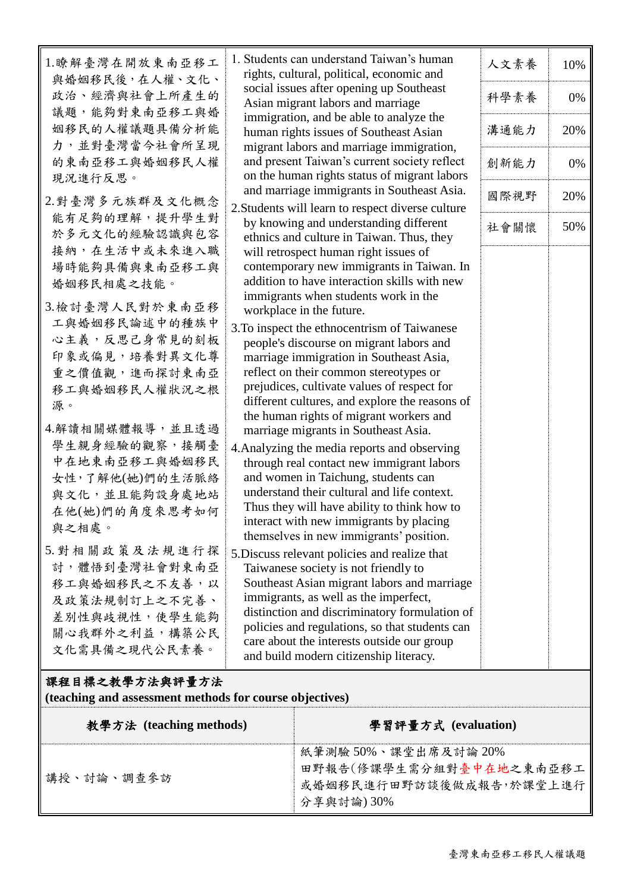| 1.瞭解臺灣在開放東南亞移工                                          |                                                                                                 |      |     |  |  |  |  |
|---------------------------------------------------------|-------------------------------------------------------------------------------------------------|------|-----|--|--|--|--|
|                                                         | 1. Students can understand Taiwan's human<br>rights, cultural, political, economic and          | 人文素養 | 10% |  |  |  |  |
| 與婚姻移民後,在人權、文化、<br>政治、經濟與社會上所產生的                         | social issues after opening up Southeast<br>Asian migrant labors and marriage                   | 科學素養 | 0%  |  |  |  |  |
| 議題,能夠對東南亞移工與婚                                           | immigration, and be able to analyze the                                                         |      |     |  |  |  |  |
| 姻移民的人權議題具備分析能                                           | human rights issues of Southeast Asian                                                          | 溝通能力 | 20% |  |  |  |  |
| 力,並對臺灣當今社會所呈現<br>的東南亞移工與婚姻移民人權                          | migrant labors and marriage immigration,<br>and present Taiwan's current society reflect        | 創新能力 | 0%  |  |  |  |  |
| 現況進行反思。                                                 | on the human rights status of migrant labors                                                    |      |     |  |  |  |  |
| 2. 對臺灣多元族群及文化概念                                         | and marriage immigrants in Southeast Asia.<br>2. Students will learn to respect diverse culture | 國際視野 | 20% |  |  |  |  |
| 能有足夠的理解,提升學生對                                           | by knowing and understanding different                                                          | 社會關懷 | 50% |  |  |  |  |
| 於多元文化的經驗認識與包容                                           | ethnics and culture in Taiwan. Thus, they                                                       |      |     |  |  |  |  |
| 接納,在生活中或未來進入職                                           | will retrospect human right issues of                                                           |      |     |  |  |  |  |
| 場時能夠具備與東南亞移工與                                           | contemporary new immigrants in Taiwan. In                                                       |      |     |  |  |  |  |
| 婚姻移民相處之技能。                                              | addition to have interaction skills with new                                                    |      |     |  |  |  |  |
| 3.檢討臺灣人民對於東南亞移                                          | immigrants when students work in the<br>workplace in the future.                                |      |     |  |  |  |  |
| 工與婚姻移民論述中的種族中                                           | 3. To inspect the ethnocentrism of Taiwanese                                                    |      |     |  |  |  |  |
| 心主義,反思己身常見的刻板                                           | people's discourse on migrant labors and                                                        |      |     |  |  |  |  |
| 印象或偏見,培養對異文化尊                                           | marriage immigration in Southeast Asia,                                                         |      |     |  |  |  |  |
| 重之價值觀,進而探討東南亞                                           | reflect on their common stereotypes or                                                          |      |     |  |  |  |  |
| 移工與婚姻移民人權狀況之根                                           | prejudices, cultivate values of respect for                                                     |      |     |  |  |  |  |
| 源。                                                      | different cultures, and explore the reasons of                                                  |      |     |  |  |  |  |
| 4.解讀相關媒體報導,並且透過                                         | the human rights of migrant workers and                                                         |      |     |  |  |  |  |
| 學生親身經驗的觀察,接觸臺                                           | marriage migrants in Southeast Asia.                                                            |      |     |  |  |  |  |
| 中在地東南亞移工與婚姻移民                                           | 4. Analyzing the media reports and observing<br>through real contact new immigrant labors       |      |     |  |  |  |  |
| 女性,了解他(她)們的生活脈絡                                         | and women in Taichung, students can                                                             |      |     |  |  |  |  |
| 與文化,並且能夠設身處地站                                           | understand their cultural and life context.                                                     |      |     |  |  |  |  |
| 在他(她)們的角度來思考如何                                          | Thus they will have ability to think how to                                                     |      |     |  |  |  |  |
| 與之相處。                                                   | interact with new immigrants by placing                                                         |      |     |  |  |  |  |
|                                                         | themselves in new immigrants' position.                                                         |      |     |  |  |  |  |
| 5. 對相關政策及法規進行探                                          | 5. Discuss relevant policies and realize that                                                   |      |     |  |  |  |  |
| 討, 體悟到臺灣社會對東南亞                                          | Taiwanese society is not friendly to                                                            |      |     |  |  |  |  |
| 移工與婚姻移民之不友善,以                                           | Southeast Asian migrant labors and marriage                                                     |      |     |  |  |  |  |
| 及政策法規制訂上之不完善、                                           | immigrants, as well as the imperfect,<br>distinction and discriminatory formulation of          |      |     |  |  |  |  |
| 差別性與歧視性,使學生能夠                                           | policies and regulations, so that students can                                                  |      |     |  |  |  |  |
| 關心我群外之利益,構築公民                                           | care about the interests outside our group                                                      |      |     |  |  |  |  |
| 文化需具備之現代公民素養。                                           | and build modern citizenship literacy.                                                          |      |     |  |  |  |  |
|                                                         |                                                                                                 |      |     |  |  |  |  |
| (teaching and assessment methods for course objectives) |                                                                                                 |      |     |  |  |  |  |
| 課程目標之教學方法與評量方法                                          |                                                                                                 |      |     |  |  |  |  |
| 教學方法 (teaching methods)                                 | 學習評量方式 (evaluation)                                                                             |      |     |  |  |  |  |
|                                                         | 紙筆測驗 50%、課堂出席及討論 20%                                                                            |      |     |  |  |  |  |
|                                                         | 田野報告(修課學生需分組對臺中在地之東南亞移工                                                                         |      |     |  |  |  |  |
| 講授、討論、調查參訪                                              | 或婚姻移民進行田野訪談後做成報告,於課堂上進行                                                                         |      |     |  |  |  |  |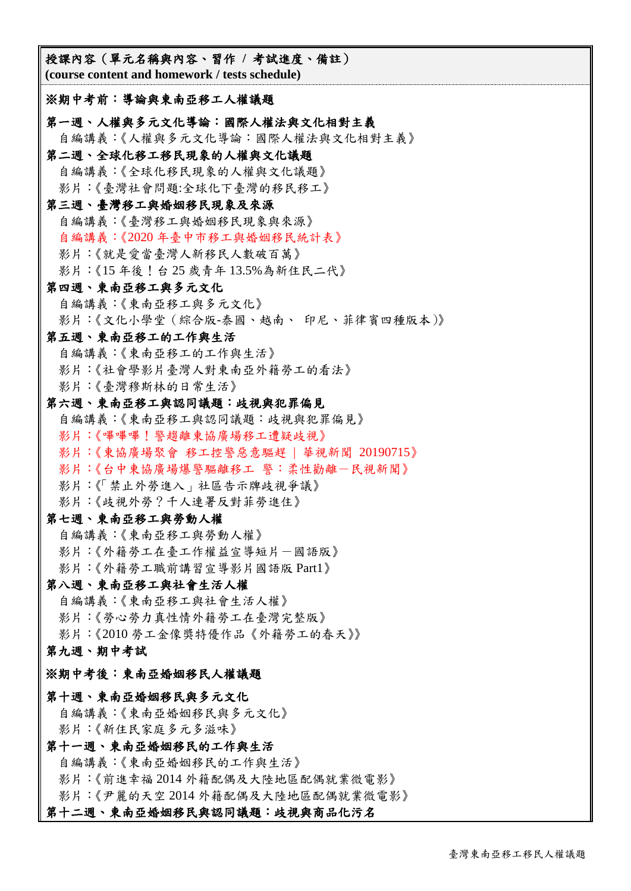授課內容(單元名稱與內容、習作 **/** 考試進度、備註) **(course content and homework / tests schedule)** ※期中考前:導論與東南亞移工人權議題 第一週、人權與多元文化導論:國際人權法與文化相對主義 自編講義:《人權與多元文化導論:國際人權法與文化相對主義》 第二週、全球化移工移民現象的人權與文化議題 自編講義:《全球化移民現象的人權與文化議題》 影片:《臺灣社會問題:全球化下臺灣的移民移工》 第三週、臺灣移工與婚姻移民現象及來源 自編講義:《臺灣移工與婚姻移民現象與來源》 自編講義:《2020 年臺中市移工與婚姻移民統計表》 影片:《就是愛當臺灣人新移民人數破百萬》 影片:《15 年後!台 25 歲青年 13.5%為新住民二代》 第四週、東南亞移工與多元文化 自編講義:《東南亞移工與多元文化》 影片:《文化小學堂(綜合版-泰國、越南、 印尼、菲律賓四種版本)》 第五週、東南亞移工的工作與生活 自編講義:《東南亞移工的工作與生活》 影片:《社會學影片臺灣人對東南亞外籍勞工的看法》 影片:《臺灣穆斯林的日常生活》 第六週、東南亞移工與認同議題:歧視與犯罪偏見 自編講義:《東南亞移工與認同議題:歧視與犯罪偏見》 影片:《嗶嗶嗶!警趨離東協廣場移工遭疑歧視》 影片:《東協廣場聚會 移工控警惡意驅趕 | 華視新聞 20190715》 影片:《台中東協廣場爆警驅離移工 警:柔性勸離一民視新聞》 影片:《「禁止外勞進入」社區告示牌歧視爭議》 影片:《歧視外勞?千人連署反對菲勞進住》 第七週、東南亞移工與勞動人權 自編講義:《東南亞移工與勞動人權》 影片:《外籍勞工在臺工作權益宣導短片一國語版》 影片:《外籍勞工職前講習宣導影片國語版 Part1》 第八週、東南亞移工與社會生活人權 自編講義:《東南亞移工與社會生活人權》 影片:《勞心勞力真性情外籍勞工在臺灣完整版》 影片:《2010 勞工金像獎特優作品《外籍勞工的春天》》 第九週、期中考試 ※期中考後:東南亞婚姻移民人權議題 第十週、東南亞婚姻移民與多元文化 自編講義:《東南亞婚姻移民與多元文化》 影片:《新住民家庭多元多滋味》 第十一週、東南亞婚姻移民的工作與生活 自編講義:《東南亞婚姻移民的工作與生活》 影片:《前進幸福 2014 外籍配偶及大陸地區配偶就業微電影》 影片:《尹麗的天空 2014 外籍配偶及大陸地區配偶就業微電影》

#### 第十二週、東南亞婚姻移民與認同議題:歧視與商品化污名